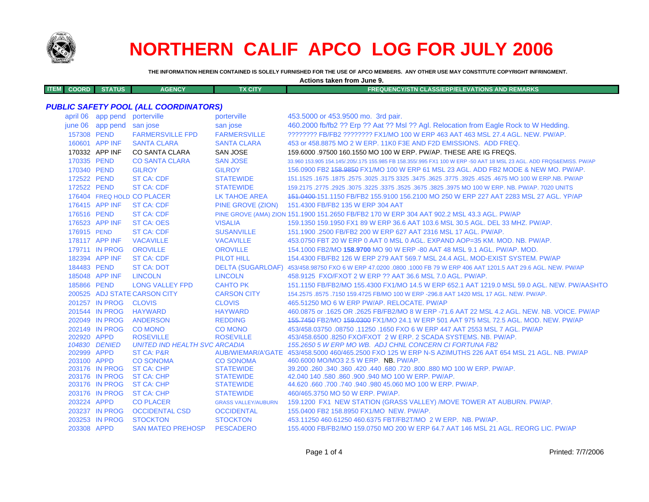

# **NORTHERN CALIF APCO LOG FOR JULY 2006**

**THE INFORMATION HEREIN CONTAINED IS SOLELY FURNISHED FOR THE USE OF APCO MEMBERS. ANY OTHER USE MAY CONSTITUTE COPYRIGHT INFRINGMENT.**

**Actions taken from June 9.**

| <b>ITEM</b> | COORD IN | <b>STATUS</b> | <b>AGENCY</b> | TX CITY | <b>FREQUENCY/STN CLASS/ERP/ELEVATIONS AND REMARKS</b> |
|-------------|----------|---------------|---------------|---------|-------------------------------------------------------|
|             |          |               |               |         |                                                       |

## *PUBLIC SAFETY POOL (ALL COORDINATORS)*

| april 06    | app pend          | porterville                           | porterville                          | 453.5000 or 453.9500 mo. 3rd pair.                                                                                  |
|-------------|-------------------|---------------------------------------|--------------------------------------|---------------------------------------------------------------------------------------------------------------------|
| june 06     | app pend san jose |                                       | san jose                             | 460.2000 fb/fb2 ?? Erp ?? Aat ?? Msl ?? Agl. Relocation from Eagle Rock to W Hedding.                               |
| 157308 PEND |                   | <b>FARMERSVILLE FPD</b>               | <b>FARMERSVILLE</b>                  | ???????? FB/FB2 ???????? FX1/MO 100 W ERP 463 AAT 463 MSL 27.4 AGL. NEW. PW/AP.                                     |
|             | 160601 APP INF    | <b>SANTA CLARA</b>                    | <b>SANTA CLARA</b>                   | 453 or 458,8875 MO 2 W ERP, 11K0 F3E AND F2D EMISSIONS. ADD FREQ.                                                   |
|             | 170332 APP INF    | CO SANTA CLARA                        | <b>SAN JOSE</b>                      | 159,6000 .97500 160,1550 MO 100 W ERP, PW/AP, THESE ARE IG FREQS.                                                   |
| 170335 PEND |                   | <b>CO SANTA CLARA</b>                 | <b>SAN JOSE</b>                      | 33.960 153.905 154.145/.205/.175 155.985 FB 158.355/.995 FX1 100 W ERP -50 AAT 18 MSL 23 AGL. ADD FRQS&EMISS, PW/AP |
| 170340 PEND |                   | <b>GILROY</b>                         | <b>GILROY</b>                        | 156.0900 FB2 158.9850 FX1/MO 100 W ERP 61 MSL 23 AGL. ADD FB2 MODE & NEW MO. PW/AP.                                 |
| 172522 PEND |                   | <b>ST CA: CDF</b>                     | <b>STATEWIDE</b>                     | 151.1525 .1675 .1675 .3025 .3475 .3625 .3775 .3625 .3625 .3625 .3475 .3225 .3775 .1675 .1675 .1675 .                |
| 172522 PEND |                   | <b>ST CA: CDF</b>                     | <b>STATEWIDE</b>                     | 159.2175 .2775 .2925 .3075 .3225 .3375 .3525 .3675 .3825 .3975 MO 100 W ERP. NB. PW/AP. 7020 UNITS                  |
|             |                   | 176404 FREQ HOLD CO PLACER            | LK TAHOE AREA                        | 151,0400-151,1150 FB/FB2 155,9100 156,2100 MO 250 W ERP 227 AAT 2283 MSL 27 AGL, YP/AP                              |
|             | 176415 APP INF    | <b>ST CA: CDF</b>                     | PINE GROVE (ZION)                    | 151.4300 FB/FB2 135 W ERP 304 AAT                                                                                   |
| 176516 PEND |                   | <b>ST CA: CDF</b>                     |                                      | PINE GROVE (AMA) ZION 151.1900 151.2650 FB/FB2 170 W ERP 304 AAT 902.2 MSL 43.3 AGL. PW/AP                          |
|             | 176523 APP INF    | <b>ST CA: OES</b>                     | <b>VISALIA</b>                       | 159.1350 159.1950 FX1 89 W ERP 36.6 AAT 103.6 MSL 30.5 AGL. DEL 33 MHZ. PW/AP.                                      |
| 176915 PEND |                   | <b>ST CA: CDF</b>                     | <b>SUSANVILLE</b>                    | 151.1900 .2500 FB/FB2 200 W ERP 627 AAT 2316 MSL 17 AGL, PW/AP.                                                     |
|             | 178117 APP INF    | <b>VACAVILLE</b>                      | <b>VACAVILLE</b>                     | 453.0750 FBT 20 W ERP 0 AAT 0 MSL 0 AGL. EXPAND AOP=35 KM. MOD. NB. PW/AP.                                          |
|             | 179711 IN PROG    | <b>OROVILLE</b>                       | <b>OROVILLE</b>                      | 154,1000 FB2/MO 158,9700 MO 90 W ERP -80 AAT 48 MSL 9.1 AGL, PW/AP, MOD.                                            |
|             | 182394 APP INF    | <b>ST CA: CDF</b>                     | <b>PILOT HILL</b>                    | 154,4300 FB/FB2 126 W ERP 279 AAT 569.7 MSL 24.4 AGL, MOD-EXIST SYSTEM, PW/AP                                       |
| 184483 PEND |                   | <b>ST CA: DOT</b>                     |                                      | DELTA (SUGARLOAF) 453/458.98750 FXO 6 W ERP 47.0200 .0800 .1000 FB 79 W ERP 406 AAT 1201.5 AAT 29.6 AGL. NEW. PW/AP |
|             | 185048 APP INF    | <b>LINCOLN</b>                        | <b>LINCOLN</b>                       | 458.9125 FXO/FXOT 2 W ERP ?? AAT 36.6 MSL 7.0 AGL, PW/AP.                                                           |
| 185866 PEND |                   | <b>LONG VALLEY FPD</b>                | <b>CAHTO PK</b>                      | 151.1150 FB/FB2/MO 155.4300 FX1/MO 14.5 W ERP 652.1 AAT 1219.0 MSL 59.0 AGL. NEW. PW/AASHTO                         |
|             |                   | 200525 ADJ STATE CARSON CITY          | <b>CARSON CITY</b>                   | 154.2575 .8575 .7150 159.4725 FB/MO 100 W ERP -296.8 AAT 1420 MSL 17 AGL. NEW. PW/AP.                               |
|             | 201257 IN PROG    | <b>CLOVIS</b>                         | <b>CLOVIS</b>                        | 465.51250 MO 6 W ERP PW/AP. RELOCATE. PW/AP                                                                         |
|             | 201544 IN PROG    | <b>HAYWARD</b>                        | <b>HAYWARD</b>                       | 460.0875 or .1625 OR .2625 FB/FB2/MO 8 W ERP -71.6 AAT 22 MSL 4.2 AGL. NEW. NB. VOICE. PW/AP                        |
|             | 202049 IN PROG    | <b>ANDERSON</b>                       | <b>REDDING</b>                       | 155,7450 FB2/MO 159,0300 FX1/MO 24.1 W ERP 501 AAT 975 MSL 72.5 AGL, MOD, NEW, PW/AP                                |
|             | 202149 IN PROG    | <b>CO MONO</b>                        | CO MONO                              | 453/458.03750.08750.11250.1650 FXO 6 W ERP 447 AAT 2553 MSL 7 AGL, PW/AP                                            |
| 202920 APPD |                   | <b>ROSEVILLE</b>                      | <b>ROSEVILLE</b>                     | 453/458,6500,8250 FXO/FXOT 2 W ERP, 2 SCADA SYSTEMS, NB, PW/AP.                                                     |
|             | 104830 DENIED     | <b>UNITED IND HEALTH SVC ARCADIA</b>  |                                      | 155.2650 5 W ERP MO WB. ADJ CHNL CONCERN CI FORTUNA FB2                                                             |
| 202999 APPD |                   | <b>ST CA: P&amp;R</b>                 |                                      | AUB/WIEMAR/A'GATE 453/458.5000 460/465.2500 FXO 125 W ERP N-S AZIMUTHS 226 AAT 654 MSL 21 AGL, NB, PW/AP            |
| 203100 APPD | 203176 IN PROG    | <b>CO SONOMA</b><br><b>ST CA: CHP</b> | <b>CO SONOMA</b><br><b>STATEWIDE</b> | 460.6000 MO/MO3 2.5 W ERP. NB. PW/AP.<br>39.200 .260 .340 .360 .420 .440 .680 .720 .800 .880 MO 100 W ERP. PW/AP.   |
|             | 203176 IN PROG    | <b>ST CA: CHP</b>                     | <b>STATEWIDE</b>                     | 42.040 140 .580 .860 .900 .940 MO 100 W ERP. PW/AP.                                                                 |
|             | 203176 IN PROG    | <b>ST CA: CHP</b>                     | <b>STATEWIDE</b>                     | 44.620 .660 .700 .740 .940 .980 45.060 MO 100 W ERP. PW/AP.                                                         |
|             | 203176 IN PROG    | <b>ST CA: CHP</b>                     | <b>STATEWIDE</b>                     | 460/465.3750 MO 50 W ERP. PW/AP.                                                                                    |
| 203224 APPD |                   | <b>CO PLACER</b>                      | <b>GRASS VALLEY/AUBURN</b>           | 159.1200 FX1 NEW STATION (GRASS VALLEY) /MOVE TOWER AT AUBURN. PW/AP.                                               |
|             | 203237 IN PROG    | <b>OCCIDENTAL CSD</b>                 | <b>OCCIDENTAL</b>                    | 155.0400 FB2 158.8950 FX1/MO NEW, PW/AP.                                                                            |
|             | 203253 IN PROG    | <b>STOCKTON</b>                       | <b>STOCKTON</b>                      | 453.11250 460.61250 460.6375 FBT/FB2T/MO 2 W ERP. NB. PW/AP.                                                        |
| 203308 APPD |                   | <b>SAN MATEO PREHOSP</b>              | <b>PESCADERO</b>                     | 155,4000 FB/FB2/MO 159,0750 MO 200 W ERP 64.7 AAT 146 MSL 21 AGL, REORG LIC, PW/AP                                  |
|             |                   |                                       |                                      |                                                                                                                     |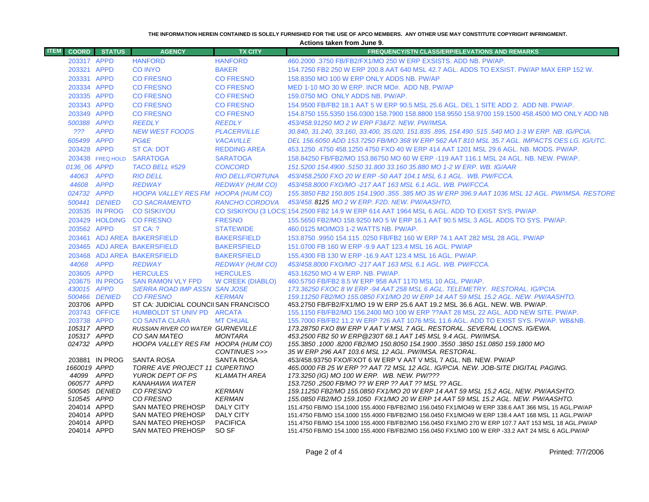#### **THE INFORMATION HEREIN CONTAINED IS SOLELY FURNISHED FOR THE USE OF APCO MEMBERS. ANY OTHER USE MAY CONSTITUTE COPYRIGHT INFRINGMENT.**

**Actions taken from June 9.**

| <b>ITEM</b> |                              | <b>COORD</b> STATUS | <b>AGENCY</b>                                                       | <b>TX CITY</b>          | <b>FREQUENCY/STN CLASS/ERP/ELEVATIONS AND REMARKS</b>                                                                                                                       |
|-------------|------------------------------|---------------------|---------------------------------------------------------------------|-------------------------|-----------------------------------------------------------------------------------------------------------------------------------------------------------------------------|
|             | 203317 APPD                  |                     | <b>HANFORD</b>                                                      | <b>HANFORD</b>          | 460,2000,3750 FB/FB2/FX1/MO 250 W ERP EXSISTS, ADD NB, PW/AP.                                                                                                               |
|             | 203321 APPD                  |                     | <b>CO INYO</b>                                                      | <b>BAKER</b>            | 154.7250 FB2 250 W ERP 200.8 AAT 640 MSL 42.7 AGL. ADDS TO EXSIST. PW/AP MAX ERP 152 W.                                                                                     |
|             | 203331 APPD                  |                     | <b>CO FRESNO</b>                                                    | <b>CO FRESNO</b>        | 158.8350 MO 100 W ERP ONLY ADDS NB. PW/AP                                                                                                                                   |
|             | 203334 APPD                  |                     | <b>CO FRESNO</b>                                                    | <b>CO FRESNO</b>        | MED 1-10 MO 30 W ERP. INCR MO#. ADD NB. PW/AP                                                                                                                               |
|             | 203335 APPD                  |                     | <b>CO FRESNO</b>                                                    | <b>CO FRESNO</b>        | 159.0750 MO ONLY ADDS NB, PW/AP.                                                                                                                                            |
|             | 203343 APPD                  |                     | <b>CO FRESNO</b>                                                    | <b>CO FRESNO</b>        | 154.9500 FB/FB2 18.1 AAT 5 W ERP 90.5 MSL 25.6 AGL. DEL 1 SITE ADD 2. ADD NB. PW/AP.                                                                                        |
|             | 203349 APPD                  |                     | <b>CO FRESNO</b>                                                    | <b>CO FRESNO</b>        | 154.8750 155.5350 156.0300 158.7900 158.8800 158.9550 158.9700 159.1500 458.4500 MO ONLY ADD NB                                                                             |
|             | 500388 APPD                  |                     | <b>REEDLY</b>                                                       | <b>REEDLY</b>           | 453/458.91250 MO 2 W ERP F3&F2. NEW. PW/IMSA.                                                                                                                               |
|             | 222                          | <b>APPD</b>         | <b>NEW WEST FOODS</b>                                               | <b>PLACERVILLE</b>      | 30.840, 31.240, 33.160, 33.400, 35.020, 151.835.895, 154.490.515.540 MO 1-3 W ERP. NB. IG/PCIA.                                                                             |
|             | 605499 APPD                  |                     | PG&E                                                                | <b>VACAVILLE</b>        | DEL 156.6050 ADD 153.7250 FB/MO 368 W ERP 562 AAT 810 MSL 35.7 AGL. IMPACTS OES LG. IG/UTC.                                                                                 |
|             | 203428 APPD                  |                     | <b>ST CA: DOT</b>                                                   | <b>REDDING AREA</b>     | 453.1250 .4750 458.1250 4750 FXO 40 W ERP 414 AAT 1201 MSL 29.6 AGL. NB. MODS. PW/AP.                                                                                       |
|             |                              | 203438 FREQ HOLD    | <b>SARATOGA</b>                                                     | <b>SARATOGA</b>         | 158.84250 FB/FB2/MO 153.86750 MO 60 W ERP -119 AAT 116.1 MSL 24 AGL, NB, NEW, PW/AP,                                                                                        |
|             | 0136_06 APPD                 |                     | TACO BELL #529                                                      | <b>CONCORD</b>          | 151.5200 154.4900 .5150 31.800 33.160 35.880 MO 1-2 W ERP. WB. IG/AAR                                                                                                       |
|             | 44063 APPD                   |                     | <b>RIO DELL</b>                                                     | <b>RIO DELL/FORTUNA</b> | 453/458.2500 FXO 20 W ERP -50 AAT 104.1 MSL 6.1 AGL. WB. PW/FCCA.                                                                                                           |
|             | 44608 APPD                   |                     | <b>REDWAY</b>                                                       | REDWAY (HUM CO)         | 453/458.8000 FXO/MO -217 AAT 163 MSL 6.1 AGL, WB, PW/FCCA,                                                                                                                  |
|             | 024732 APPD                  |                     | HOOPA VALLEY RES FM HOOPA (HUM CO)                                  |                         | 155.3850 FB2 150.805 154.1900 .355 .385 MO 35 W ERP 396.9 AAT 1036 MSL 12 AGL. PW/IMSA. RESTORE                                                                             |
|             |                              | 500441 DENIED       | <b>CO SACRAMENTO</b>                                                | RANCHO CORDOVA          | 453/458, 8125 MO 2 W ERP, F2D, NEW, PW/AASHTO,                                                                                                                              |
|             |                              | 203535 IN PROG      | <b>CO SISKIYOU</b>                                                  |                         | CO SISKIYOU (3 LOCS 154.2500 FB2 14.9 W ERP 614 AAT 1964 MSL 6 AGL. ADD TO EXIST SYS. PW/AP.                                                                                |
|             |                              |                     | 203429 HOLDING CO FRESNO                                            | <b>FRESNO</b>           | 155,5650 FB2/MO 158,9250 MO 5 W ERP 16.1 AAT 90.5 MSL 3 AGL. ADDS TO SYS, PW/AP.                                                                                            |
|             | 203562 APPD                  |                     | ST CA: ?                                                            | <b>STATEWIDE</b>        | 460.0125 MO/MO3 1-2 WATTS NB. PW/AP.                                                                                                                                        |
|             |                              |                     | 203461 ADJ AREA BAKERSFIELD                                         | <b>BAKERSFIELD</b>      | 153.8750 .9950 154.115 .0250 FB/FB2 160 W ERP 74.1 AAT 282 MSL 28 AGL. PW/AP                                                                                                |
|             |                              |                     | 203465 ADJ AREA BAKERSFIELD                                         | <b>BAKERSFIELD</b>      | 151.0700 FB 160 W ERP -9.9 AAT 123.4 MSL 16 AGL. PW/AP                                                                                                                      |
|             |                              |                     | 203468 ADJ AREA BAKERSFIELD                                         | <b>BAKERSFIELD</b>      | 155.4300 FB 130 W ERP -16.9 AAT 123.4 MSL 16 AGL. PW/AP.                                                                                                                    |
|             | 44068 APPD                   |                     | <b>REDWAY</b>                                                       | <b>REDWAY (HUM CO)</b>  | 453/458.8000 FXO/MO -217 AAT 163 MSL 6.1 AGL, WB, PW/FCCA,                                                                                                                  |
|             | 203605 APPD                  |                     | <b>HERCULES</b>                                                     | <b>HERCULES</b>         | 453.16250 MO 4 W ERP. NB. PW/AP.                                                                                                                                            |
|             |                              | 203675 IN PROG      | <b>SAN RAMON VLY FPD</b>                                            | <b>W CREEK (DIABLO)</b> | 460.5750 FB/FB2 8.5 W ERP 958 AAT 1170 MSL 10 AGL, PW/AP.                                                                                                                   |
|             | 430015 APPD                  |                     | <b>SIERRA ROAD IMP ASSN SAN JOSE</b>                                |                         | 173.36250 FXOC 8 W ERP -94 AAT 258 MSL 6 AGL. TELEMETRY. RESTORAL. IG/PCIA.                                                                                                 |
|             |                              | 500466 DENIED       | <b>CO FRESNO</b>                                                    | <b>KERMAN</b>           | 159.11250 FB2/MO 155.0850 FX1/MO 20 W ERP 14 AAT 59 MSL 15.2 AGL. NEW. PW/AASHTO.                                                                                           |
|             | 203706 APPD<br>203743 OFFICE |                     | ST CA: JUDICIAL COUNCII SAN FRANCISCO<br>HUMBOLDT ST UNIV PD ARCATA |                         | 453.2750 FB/FB2/FX1/MO 19 W ERP 25.6 AAT 19.2 MSL 36.6 AGL. NEW. WB. PW/AP.                                                                                                 |
|             | 203738 APPD                  |                     | <b>CO SANTA CLARA</b>                                               | <b>MT CHUAL</b>         | 155.1150 FB/FB2/MO 156.2400 MO 100 W ERP ??AAT 28 MSL 22 AGL. ADD NEW SITE. PW/AP.<br>155,7000 FB/FB2 11.2 W ERP 726 AAT 1076 MSL 11.6 AGL, ADD TO EXIST SYS, PW/AP, WB&NB, |
|             | 105317 APPD                  |                     | RUSSIAN RIVER CO WATER GURNEVILLE                                   |                         | 173.28750 FXO 8W ERP V AAT V MSL 7 AGL. RESTORAL. SEVERAL LOCNS. IG/EWA.                                                                                                    |
|             | 105317 APPD                  |                     | CO SAN MATEO                                                        | <b>MONTARA</b>          | 453.2500 FB2 50 W ERP@230T 68.1 AAT 145 MSL 9.4 AGL. PW/IMSA.                                                                                                               |
|             | 024732 APPD                  |                     | HOOPA VALLEY RES FM HOOPA (HUM CO)                                  |                         | 155.3850 .1000 .8200 FB2/MO 150.8050 154.1900 .3550 .3850 151.0850 159.1800 MO                                                                                              |
|             |                              |                     |                                                                     | CONTINUES >>>           | 35 W ERP 296 AAT 103.6 MSL 12 AGL. PW/IMSA. RESTORAL.                                                                                                                       |
|             |                              | 203881 IN PROG      | <b>SANTA ROSA</b>                                                   | <b>SANTA ROSA</b>       | 453/458.93750 FXO/FXOT 6 W ERP V AAT V MSL 7 AGL. NB. NEW. PW/AP                                                                                                            |
|             | 1660019 APPD                 |                     | TORRE AVE PROJECT 11 CUPERTINO                                      |                         | 465.0000 FB 25 W ERP ?? AAT 72 MSL 12 AGL. IG/PCIA. NEW. JOB-SITE DIGITAL PAGING.                                                                                           |
|             | 44099 APPD<br>060577 APPD    |                     | YUROK DEPT OF PS<br>KANAHAWA WATER                                  | <b>KLAMATH AREA</b>     | 173.3250 (IG) MO 100 W ERP. WB. NEW. PW/???<br>153.7250 .2500 FB/MO ?? W ERP ?? AAT ?? MSL ?? AGL.                                                                          |
|             |                              | 500545 DENIED       | CO FRESNO                                                           | <b>KERMAN</b>           | 159.11250 FB2/MO 155.0850 FX1/MO 20 W ERP 14 AAT 59 MSL 15.2 AGL. NEW. PW/AASHTO.                                                                                           |
|             | 510545 APPD                  |                     | CO FRESNO                                                           | <b>KERMAN</b>           | 155.0850 FB2/MO 159.1050 FX1/MO 20 W ERP 14 AAT 59 MSL 15.2 AGL. NEW. PW/AASHTO.                                                                                            |
|             | 204014 APPD                  |                     | SAN MATEO PREHOSP                                                   | DALY CITY               | 151.4750 FB/MO 154.1000 155.4000 FB/FB2/MO 156.0450 FX1/MO49 W ERP 338.6 AAT 366 MSL 15 AGL.PW/AP                                                                           |
|             | 204014 APPD                  |                     | <b>SAN MATEO PREHOSP</b>                                            | <b>DALY CITY</b>        | 151.4750 FB/MO 154.1000 155.4000 FB/FB2/MO 156.0450 FX1/MO49 W ERP 138.4 AAT 168 MSL 11 AGL.PW/AP                                                                           |
|             | 204014 APPD                  |                     | <b>SAN MATEO PREHOSP</b>                                            | <b>PACIFICA</b>         | 151.4750 FB/MO 154.1000 155.4000 FB/FB2/MO 156.0450 FX1/MO 270 W ERP 107.7 AAT 153 MSL 18 AGL.PW/AP                                                                         |
|             | 204014 APPD                  |                     | <b>SAN MATEO PREHOSP</b>                                            | SO <sub>SF</sub>        | 151.4750 FB/MO 154.1000 155.4000 FB/FB2/MO 156.0450 FX1/MO 100 W ERP -33.2 AAT 24 MSL 6 AGL.PW/AP                                                                           |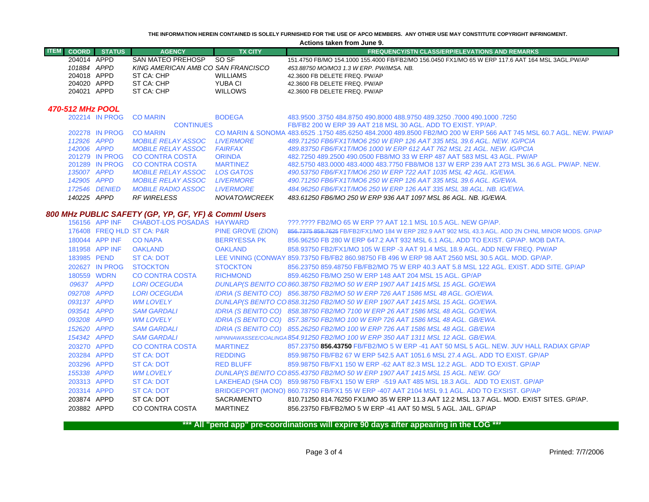**THE INFORMATION HEREIN CONTAINED IS SOLELY FURNISHED FOR THE USE OF APCO MEMBERS. ANY OTHER USE MAY CONSTITUTE COPYRIGHT INFRINGMENT.**

|             | <b>ITEM COORD STATUS</b> | <b>AGENCY</b>                      | <b>TX CITY</b>  | <b>FREQUENCY/STN CLASS/ERP/ELEVATIONS AND REMARKS</b>                                            |
|-------------|--------------------------|------------------------------------|-----------------|--------------------------------------------------------------------------------------------------|
| 204014 APPD |                          | SAN MATEO PREHOSP                  | SO SF           | 151.4750 FB/MO 154.1000 155.4000 FB/FB2/MO 156.0450 FX1/MO 65 W ERP 117.6 AAT 164 MSL 3AGL.PW/AP |
| 101884 APPD |                          | KING AMERICAN AMB CO SAN FRANCISCO |                 | 453.88750 MO/MO3 1.3 W ERP. PW/IMSA. NB.                                                         |
| 204018 APPD |                          | ST CA: CHP                         | <b>WILLIAMS</b> | 42.3600 FB DELETE FREQ. PW/AP                                                                    |
| 204020 APPD |                          | ST CA: CHP                         | YUBA CI         | 42.3600 FB DELETE FREQ. PW/AP                                                                    |
| 204021      | APPD                     | ST CA: CHP                         | <b>WILLOWS</b>  | 42.3600 FB DELETE FREQ. PW/AP                                                                    |

### *470-512 MHz POOL*

| 140225 APPD |                | <i>RF WIRELESS</i>        | NOVATO/WCREEK     | 483.61250 FB6/MO 250 W ERP 936 AAT 1097 MSL 86 AGL. NB. IG/EWA.                                                   |
|-------------|----------------|---------------------------|-------------------|-------------------------------------------------------------------------------------------------------------------|
|             | 172546 DENIED  | <b>MOBILE RADIO ASSOC</b> | <b>I IVERMORE</b> | 484.96250 FB6/FX1T/MO6 250 W ERP 126 AAT 335 MSL 38 AGL, NB, IG/EWA,                                              |
| 142905 APPD |                | <i>MOBILE RELAY ASSOC</i> | <b>I IVERMORE</b> | 490.71250 FB6/FX1T/MO6 250 W ERP 126 AAT 335 MSL 39.6 AGL. IG/EWA.                                                |
| 135007 APPD |                | <i>MOBILE RELAY ASSOC</i> | LOS GATOS         | 490.53750 FB6/FX1T/MO6 250 W ERP 722 AAT 1035 MSL 42 AGL. IG/EWA.                                                 |
|             | 201289 IN PROG | CO CONTRA COSTA           | <b>MARTINFZ</b>   | 482,5750 483,0000 483,4000 483,7750 FB8/MO8 137 W ERP 239 AAT 273 MSL 36.6 AGL, PW/AP, NEW.                       |
|             | 201279 IN PROG | CO CONTRA COSTA           | <b>ORINDA</b>     | 482,7250 489,2500 490,0500 FB8/MO 33 W ERP 487 AAT 583 MSL 43 AGL, PW/AP                                          |
| 142006 APPD |                | <i>MOBILE RELAY ASSOC</i> | <b>FAIRFAX</b>    | 489.83750 FB6/FX1T/MO6 1000 W ERP 612 AAT 762 MSL 21 AGL. NEW. IG/PCIA                                            |
| 112926 APPD |                | <b>MOBILE RELAY ASSOC</b> | <b>LIVERMORE</b>  | 489.71250 FB6/FX1T/MO6 250 W ERP 126 AAT 335 MSL 39.6 AGL. NEW. IG/PCIA                                           |
|             | 202278 IN PROG | <b>CO MARIN</b>           |                   | CO MARIN & SONOMA 483,6525 .1750 485,6250 484,2000 489,8500 FB2/MO 200 W ERP 566 AAT 745 MSL 60.7 AGL, NEW, PW/AP |
|             |                | <b>CONTINUES</b>          |                   | FB/FB2 200 W ERP 39 AAT 218 MSL 30 AGL, ADD TO EXIST, YP/AP.                                                      |
|             | 202214 IN PROG | <b>CO MARIN</b>           | <b>BODEGA</b>     | 483,9500 .3750 484,8750 490,8000 488,9750 489,3250 .7000 490,1000 .3750                                           |

## *800 MHz PUBLIC SAFETY (GP, YP, GF, YF) & Comml Users*

|             | 156156 APP INF | CHABOT-LOS POSADAS HAYWARD |                     | 222.2222 FB2/MO 65 W ERP 22 AAT 12.1 MSL 10.5 AGL. NEW GP/AP.                                       |
|-------------|----------------|----------------------------|---------------------|-----------------------------------------------------------------------------------------------------|
|             |                | 176408 FREQ HLD ST CA: P&R | PINE GROVE (ZION)   | 856,7375 858,7625 FB/FB2/FX1/MO 184 W ERP 282.9 AAT 902 MSL 43.3 AGL. ADD 2N CHNL MINOR MODS. GP/AP |
|             | 180044 APP INF | <b>CO NAPA</b>             | <b>BERRYESSA PK</b> | 856,96250 FB 280 W ERP 647.2 AAT 932 MSL 6.1 AGL, ADD TO EXIST, GP/AP, MOB DATA,                    |
|             | 181958 APP INF | <b>OAKLAND</b>             | <b>OAKLAND</b>      | 858.93750 FB2/FX1/MO 105 W ERP -3 AAT 91.4 MSL 18.9 AGL. ADD NEW FREQ. PW/AP                        |
| 183985 PEND |                | ST CA: DOT                 |                     | LEE VINING (CONWAY 859.73750 FB/FB2 860.98750 FB 496 W ERP 98 AAT 2560 MSL 30.5 AGL. MOD. GP/AP.    |
|             | 202627 IN PROG | <b>STOCKTON</b>            | <b>STOCKTON</b>     | 856.23750 859.48750 FB/FB2/MO 75 W ERP 40.3 AAT 5.8 MSL 122 AGL. EXIST. ADD SITE. GP/AP             |
| 180559 WDRN |                | CO CONTRA COSTA            | <b>RICHMOND</b>     | 859.46250 FB/MO 250 W ERP 148 AAT 204 MSL 15 AGL, GP/AP                                             |
| 09637 APPD  |                | <b>LORI OCEGUDA</b>        |                     | DUNLAP(S BENITO CO 860.38750 FB2/MO 50 W ERP 1907 AAT 1415 MSL 15 AGL. GO/EWA                       |
| 092708 APPD |                | <b>LORI OCEGUDA</b>        |                     | IDRIA (S BENITO CO) 856.38750 FB2/MO 50 W ERP 726 AAT 1586 MSL 48 AGL. GO/EWA.                      |
| 093137 APPD |                | <b>WM LOVELY</b>           |                     | DUNLAP(S BENITO CO 858.31250 FB2/MO 50 W ERP 1907 AAT 1415 MSL 15 AGL. GO/EWA.                      |
| 093541 APPD |                | <b>SAM GARDALI</b>         |                     | IDRIA (S BENITO CO) 858.38750 FB2/MO 7100 W ERP 26 AAT 1586 MSL 48 AGL. GO/EWA.                     |
| 093208 APPD |                | WM LOVELY                  |                     | IDRIA (S BENITO CO) 857.38750 FB2/MO 100 W ERP 726 AAT 1586 MSL 48 AGL. GB/EWA.                     |
| 152620 APPD |                | <b>SAM GARDALI</b>         |                     | IDRIA (S BENITO CO) 855.26250 FB2/MO 100 W ERP 726 AAT 1586 MSL 48 AGL. GB/EWA                      |
| 154342 APPD |                | <b>SAM GARDALI</b>         |                     | NIPINNAWASSEE/COALINGA 854.91250 FB2/MO 100 W ERP 350 AAT 1311 MSL 12 AGL. GB/EWA.                  |
| 203270 APPD |                | CO CONTRA COSTA            | <b>MARTINEZ</b>     | 857.23750 856.43750 FB/FB2/MO 5 W ERP -41 AAT 50 MSL 5 AGL. NEW. JUV HALL RADIAX GP/AP              |
| 203284 APPD |                | ST CA: DOT                 | REDDING             | 859.98750 FB/FB2 67 W ERP 542.5 AAT 1051.6 MSL 27.4 AGL. ADD TO EXIST. GP/AP                        |
| 203296 APPD |                | ST CA: DOT                 | RED BLUFF           | 859,98750 FB/FX1 150 W ERP -62 AAT 82.3 MSL 12.2 AGL. ADD TO EXIST, GP/AP                           |
| 155338 APPD |                | WM LOVELY                  |                     | DUNLAP(S BENITO CO 855.43750 FB2/MO 50 W ERP 1907 AAT 1415 MSL 15 AGL. NEW. GO/                     |
| 203313 APPD |                | ST CA: DOT                 |                     | LAKEHEAD (SHA CO) 859.98750 FB/FX1 150 W ERP -519 AAT 485 MSL 18.3 AGL. ADD TO EXIST. GP/AP         |
| 203314 APPD |                | ST CA: DOT                 |                     | BRIDGEPORT (MONO) 860.73750 FB/FX1 55 W ERP -407 AAT 2104 MSL 9.1 AGL. ADD TO EXSIST. GP/AP         |
| 203874 APPD |                | ST CA: DOT                 | SACRAMENTO          | 810.71250 814.76250 FX1/MO 35 W ERP 11.3 AAT 12.2 MSL 13.7 AGL. MOD. EXIST SITES. GP/AP.            |
| 203882 APPD |                | CO CONTRA COSTA            | MARTINEZ            | 856.23750 FB/FB2/MO 5 W ERP -41 AAT 50 MSL 5 AGL, JAIL, GP/AP                                       |
|             |                |                            |                     |                                                                                                     |

**\*\*\* All "pend app" pre-coordinations will expire 90 days after appearing in the LOG \*\*\***